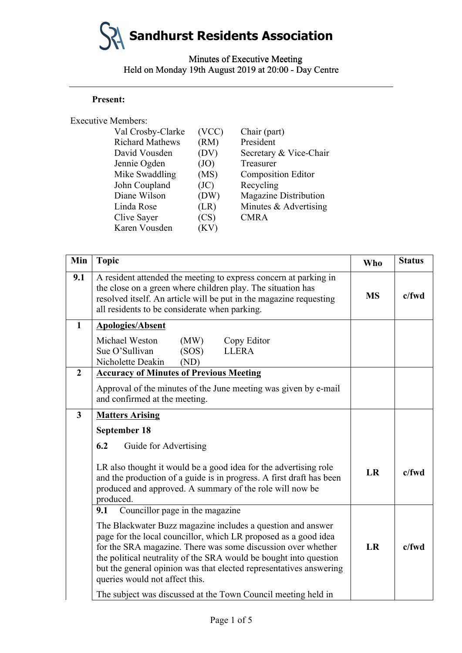# **Sandhurst Residents Association**

Minutes of Executive Meeting Minutes of Executive Meeting Held on Monday 19th August 2019 at 20:00 - Day Centre

#### **Present:**

| <b>Executive Members:</b> |       |                              |
|---------------------------|-------|------------------------------|
| Val Crosby-Clarke         | (VCC) | Chair (part)                 |
| <b>Richard Mathews</b>    | (RM)  | President                    |
| David Vousden             | (DV)  | Secretary & Vice-Chair       |
| Jennie Ogden              | (JO)  | Treasurer                    |
| Mike Swaddling            | (MS)  | <b>Composition Editor</b>    |
| John Coupland             | (JC)  | Recycling                    |
| Diane Wilson              | (DW)  | <b>Magazine Distribution</b> |
| Linda Rose                | (LR)  | Minutes & Advertising        |
| Clive Sayer               | (CS)  | <b>CMRA</b>                  |
| Karen Vousden             | (KV)  |                              |

|                  | <b>Present:</b>                                                       |              |                                                                                                                                                                                                |            |               |
|------------------|-----------------------------------------------------------------------|--------------|------------------------------------------------------------------------------------------------------------------------------------------------------------------------------------------------|------------|---------------|
|                  | <b>Executive Members:</b>                                             |              |                                                                                                                                                                                                |            |               |
|                  | Val Crosby-Clarke                                                     | (VCC)        | Chair (part)                                                                                                                                                                                   |            |               |
|                  | <b>Richard Mathews</b>                                                | (RM)         | President                                                                                                                                                                                      |            |               |
|                  | David Vousden                                                         | (DV)         | Secretary & Vice-Chair                                                                                                                                                                         |            |               |
|                  | Jennie Ogden<br>Mike Swaddling                                        | (JO)<br>(MS) | Treasurer<br><b>Composition Editor</b>                                                                                                                                                         |            |               |
|                  | John Coupland                                                         | (JC)         | Recycling                                                                                                                                                                                      |            |               |
|                  | Diane Wilson                                                          | (DW)         | <b>Magazine Distribution</b>                                                                                                                                                                   |            |               |
|                  | Linda Rose                                                            | (LR)         | Minutes & Advertising                                                                                                                                                                          |            |               |
|                  | Clive Sayer                                                           | (CS)         | <b>CMRA</b>                                                                                                                                                                                    |            |               |
|                  | Karen Vousden                                                         | (KV)         |                                                                                                                                                                                                |            |               |
| Min              | <b>Topic</b>                                                          |              |                                                                                                                                                                                                | <b>Who</b> | <b>Status</b> |
| 9.1              |                                                                       |              | A resident attended the meeting to express concern at parking in                                                                                                                               |            |               |
|                  | the close on a green where children play. The situation has           |              |                                                                                                                                                                                                |            |               |
|                  |                                                                       |              | resolved itself. An article will be put in the magazine requesting                                                                                                                             | <b>MS</b>  | c/fwd         |
|                  | all residents to be considerate when parking.                         |              |                                                                                                                                                                                                |            |               |
| $\mathbf{1}$     | <b>Apologies/Absent</b>                                               |              |                                                                                                                                                                                                |            |               |
|                  | Michael Weston<br>(MW)                                                |              | Copy Editor                                                                                                                                                                                    |            |               |
|                  | Sue O'Sullivan<br>(SOS)                                               |              | <b>LLERA</b>                                                                                                                                                                                   |            |               |
|                  | Nicholette Deakin<br>(ND)                                             |              |                                                                                                                                                                                                |            |               |
| $\boldsymbol{2}$ | <b>Accuracy of Minutes of Previous Meeting</b>                        |              |                                                                                                                                                                                                |            |               |
|                  | and confirmed at the meeting.                                         |              | Approval of the minutes of the June meeting was given by e-mail                                                                                                                                |            |               |
| 3                | <b>Matters Arising</b>                                                |              |                                                                                                                                                                                                |            |               |
|                  | September 18                                                          |              |                                                                                                                                                                                                |            |               |
|                  | 6.2<br>Guide for Advertising                                          |              |                                                                                                                                                                                                |            |               |
|                  | produced and approved. A summary of the role will now be<br>produced. |              | LR also thought it would be a good idea for the advertising role<br>and the production of a guide is in progress. A first draft has been                                                       | LR         | c/fwd         |
|                  | Councillor page in the magazine<br>9.1                                |              |                                                                                                                                                                                                |            |               |
|                  |                                                                       |              | The Blackwater Buzz magazine includes a question and answer<br>page for the local councillor, which LR proposed as a good idea<br>for the SRA magazine. There was some discussion over whether | <b>LR</b>  | c/fwd         |
|                  | queries would not affect this.                                        |              | the political neutrality of the SRA would be bought into question<br>but the general opinion was that elected representatives answering                                                        |            |               |
|                  |                                                                       |              |                                                                                                                                                                                                |            |               |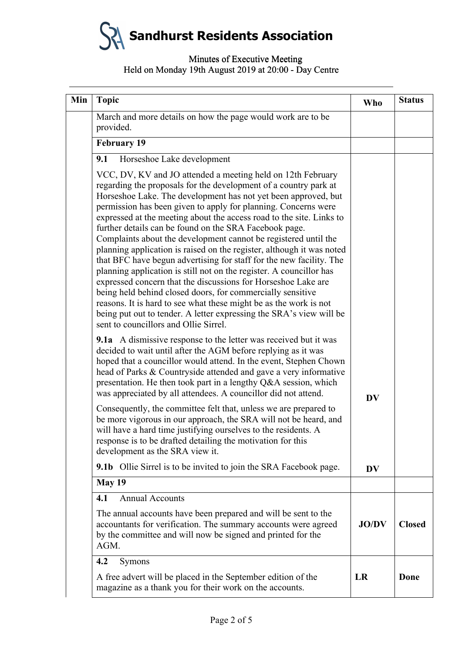**Sandhurst Residents Association**

# Minutes of Executive Meeting Minutes of Executive Meeting Held on Monday 19th August 2019 at 20:00 - Day Centre

| Min | <b>Topic</b>                                                                                                                                                                                                                                                                                                                                                                                                                                                                                                                                                                                                                                                                                                                                                                                                                                                                                                                                                                                                        | <b>Who</b>   | <b>Status</b> |
|-----|---------------------------------------------------------------------------------------------------------------------------------------------------------------------------------------------------------------------------------------------------------------------------------------------------------------------------------------------------------------------------------------------------------------------------------------------------------------------------------------------------------------------------------------------------------------------------------------------------------------------------------------------------------------------------------------------------------------------------------------------------------------------------------------------------------------------------------------------------------------------------------------------------------------------------------------------------------------------------------------------------------------------|--------------|---------------|
|     | March and more details on how the page would work are to be<br>provided.                                                                                                                                                                                                                                                                                                                                                                                                                                                                                                                                                                                                                                                                                                                                                                                                                                                                                                                                            |              |               |
|     | <b>February 19</b>                                                                                                                                                                                                                                                                                                                                                                                                                                                                                                                                                                                                                                                                                                                                                                                                                                                                                                                                                                                                  |              |               |
|     | 9.1<br>Horseshoe Lake development                                                                                                                                                                                                                                                                                                                                                                                                                                                                                                                                                                                                                                                                                                                                                                                                                                                                                                                                                                                   |              |               |
|     | VCC, DV, KV and JO attended a meeting held on 12th February<br>regarding the proposals for the development of a country park at<br>Horseshoe Lake. The development has not yet been approved, but<br>permission has been given to apply for planning. Concerns were<br>expressed at the meeting about the access road to the site. Links to<br>further details can be found on the SRA Facebook page.<br>Complaints about the development cannot be registered until the<br>planning application is raised on the register, although it was noted<br>that BFC have begun advertising for staff for the new facility. The<br>planning application is still not on the register. A councillor has<br>expressed concern that the discussions for Horseshoe Lake are<br>being held behind closed doors, for commercially sensitive<br>reasons. It is hard to see what these might be as the work is not<br>being put out to tender. A letter expressing the SRA's view will be<br>sent to councillors and Ollie Sirrel. |              |               |
|     | <b>9.1a</b> A dismissive response to the letter was received but it was<br>decided to wait until after the AGM before replying as it was<br>hoped that a councillor would attend. In the event, Stephen Chown<br>head of Parks & Countryside attended and gave a very informative<br>presentation. He then took part in a lengthy Q&A session, which<br>was appreciated by all attendees. A councillor did not attend.                                                                                                                                                                                                                                                                                                                                                                                                                                                                                                                                                                                              | <b>DV</b>    |               |
|     | Consequently, the committee felt that, unless we are prepared to<br>be more vigorous in our approach, the SRA will not be heard, and<br>will have a hard time justifying ourselves to the residents. A<br>response is to be drafted detailing the motivation for this<br>development as the SRA view it.                                                                                                                                                                                                                                                                                                                                                                                                                                                                                                                                                                                                                                                                                                            |              |               |
|     | <b>9.1b</b> Ollie Sirrel is to be invited to join the SRA Facebook page.                                                                                                                                                                                                                                                                                                                                                                                                                                                                                                                                                                                                                                                                                                                                                                                                                                                                                                                                            | <b>DV</b>    |               |
|     | <b>May 19</b>                                                                                                                                                                                                                                                                                                                                                                                                                                                                                                                                                                                                                                                                                                                                                                                                                                                                                                                                                                                                       |              |               |
|     | 4.1<br><b>Annual Accounts</b>                                                                                                                                                                                                                                                                                                                                                                                                                                                                                                                                                                                                                                                                                                                                                                                                                                                                                                                                                                                       |              |               |
|     | The annual accounts have been prepared and will be sent to the<br>accountants for verification. The summary accounts were agreed<br>by the committee and will now be signed and printed for the<br>AGM.                                                                                                                                                                                                                                                                                                                                                                                                                                                                                                                                                                                                                                                                                                                                                                                                             | <b>JO/DV</b> | <b>Closed</b> |
|     | 4.2<br>Symons                                                                                                                                                                                                                                                                                                                                                                                                                                                                                                                                                                                                                                                                                                                                                                                                                                                                                                                                                                                                       |              |               |
|     | A free advert will be placed in the September edition of the<br>magazine as a thank you for their work on the accounts.                                                                                                                                                                                                                                                                                                                                                                                                                                                                                                                                                                                                                                                                                                                                                                                                                                                                                             | LR           | Done          |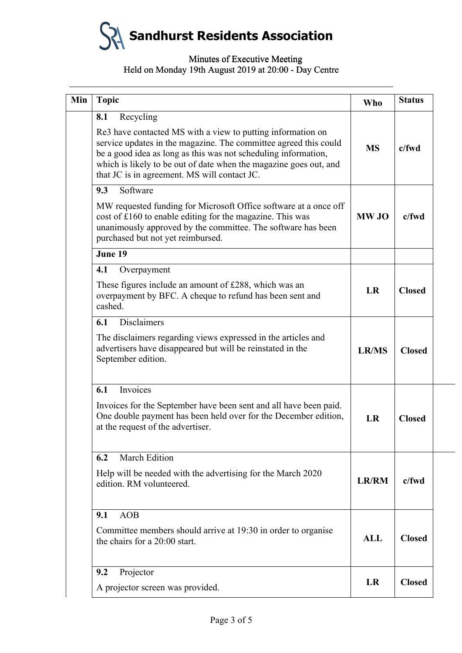**Sandhurst Residents Association**

### Minutes of Executive Meeting Minutes of Executive Meeting Held on Monday 19th August 2019 at 20:00 - Day Centre

| <b>Topic</b>                                                                                                                                                                                                                                                                                                                               | <b>Who</b>   | <b>Status</b> |
|--------------------------------------------------------------------------------------------------------------------------------------------------------------------------------------------------------------------------------------------------------------------------------------------------------------------------------------------|--------------|---------------|
| Recycling<br>8.1<br>Re3 have contacted MS with a view to putting information on<br>service updates in the magazine. The committee agreed this could<br>be a good idea as long as this was not scheduling information,<br>which is likely to be out of date when the magazine goes out, and<br>that JC is in agreement. MS will contact JC. | <b>MS</b>    | $c$ /fwd      |
| 9.3<br>Software<br>MW requested funding for Microsoft Office software at a once off<br>cost of £160 to enable editing for the magazine. This was<br>unanimously approved by the committee. The software has been<br>purchased but not yet reimbursed.                                                                                      | <b>MW JO</b> | $c$ /fwd      |
| June 19                                                                                                                                                                                                                                                                                                                                    |              |               |
| 4.1<br>Overpayment<br>These figures include an amount of £288, which was an<br>overpayment by BFC. A cheque to refund has been sent and<br>cashed.                                                                                                                                                                                         | LR           | <b>Closed</b> |
| <b>Disclaimers</b><br>6.1<br>The disclaimers regarding views expressed in the articles and<br>advertisers have disappeared but will be reinstated in the<br>September edition.                                                                                                                                                             | <b>LR/MS</b> | <b>Closed</b> |
| Invoices<br>6.1                                                                                                                                                                                                                                                                                                                            |              |               |
| Invoices for the September have been sent and all have been paid.<br>One double payment has been held over for the December edition,<br>at the request of the advertiser.                                                                                                                                                                  | LR           | <b>Closed</b> |
| <b>March Edition</b><br>6.2                                                                                                                                                                                                                                                                                                                |              |               |
| Help will be needed with the advertising for the March 2020<br>edition. RM volunteered.                                                                                                                                                                                                                                                    | LR/RM        | c/fwd         |
| <b>AOB</b><br>9.1<br>Committee members should arrive at 19:30 in order to organise<br>the chairs for a 20:00 start.                                                                                                                                                                                                                        | <b>ALL</b>   | <b>Closed</b> |
| 9.2<br>Projector<br>A projector screen was provided.                                                                                                                                                                                                                                                                                       | LR           | <b>Closed</b> |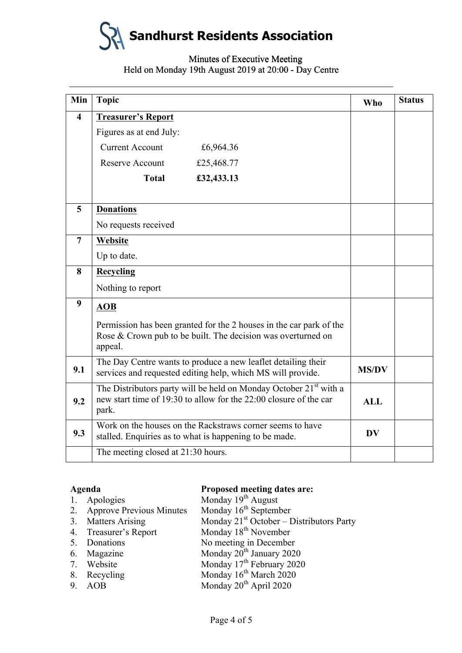

# Minutes of Executive Meeting Minutes of Executive Meeting Held on Monday 19th August 2019 at 20:00 - Day Centre

|                                                              | Min<br><b>Topic</b>                                                                                                                                         |                                                                                                                                                                                                                                                                                                                                                                             |    | <b>Status</b> |
|--------------------------------------------------------------|-------------------------------------------------------------------------------------------------------------------------------------------------------------|-----------------------------------------------------------------------------------------------------------------------------------------------------------------------------------------------------------------------------------------------------------------------------------------------------------------------------------------------------------------------------|----|---------------|
| $\overline{\mathbf{4}}$                                      | <b>Treasurer's Report</b>                                                                                                                                   |                                                                                                                                                                                                                                                                                                                                                                             |    |               |
|                                                              | Figures as at end July:                                                                                                                                     |                                                                                                                                                                                                                                                                                                                                                                             |    |               |
|                                                              | <b>Current Account</b>                                                                                                                                      | £6,964.36                                                                                                                                                                                                                                                                                                                                                                   |    |               |
|                                                              | Reserve Account                                                                                                                                             | £25,468.77                                                                                                                                                                                                                                                                                                                                                                  |    |               |
|                                                              | <b>Total</b>                                                                                                                                                | £32,433.13                                                                                                                                                                                                                                                                                                                                                                  |    |               |
| 5                                                            | <b>Donations</b>                                                                                                                                            |                                                                                                                                                                                                                                                                                                                                                                             |    |               |
|                                                              | No requests received                                                                                                                                        |                                                                                                                                                                                                                                                                                                                                                                             |    |               |
| $\overline{7}$                                               | Website                                                                                                                                                     |                                                                                                                                                                                                                                                                                                                                                                             |    |               |
|                                                              | Up to date.                                                                                                                                                 |                                                                                                                                                                                                                                                                                                                                                                             |    |               |
| 8                                                            | <b>Recycling</b>                                                                                                                                            |                                                                                                                                                                                                                                                                                                                                                                             |    |               |
|                                                              | Nothing to report                                                                                                                                           |                                                                                                                                                                                                                                                                                                                                                                             |    |               |
| 9                                                            | <b>AOB</b>                                                                                                                                                  |                                                                                                                                                                                                                                                                                                                                                                             |    |               |
|                                                              | appeal.                                                                                                                                                     | Permission has been granted for the 2 houses in the car park of the<br>Rose & Crown pub to be built. The decision was overturned on                                                                                                                                                                                                                                         |    |               |
| 9.1                                                          | The Day Centre wants to produce a new leaflet detailing their<br>services and requested editing help, which MS will provide.                                |                                                                                                                                                                                                                                                                                                                                                                             |    |               |
| 9.2                                                          | The Distributors party will be held on Monday October 21 <sup>st</sup> with a<br>new start time of 19:30 to allow for the 22:00 closure of the car<br>park. |                                                                                                                                                                                                                                                                                                                                                                             |    |               |
| 9.3                                                          | Work on the houses on the Rackstraws corner seems to have<br>stalled. Enquiries as to what is happening to be made.                                         |                                                                                                                                                                                                                                                                                                                                                                             | DV |               |
|                                                              | The meeting closed at 21:30 hours.                                                                                                                          |                                                                                                                                                                                                                                                                                                                                                                             |    |               |
| Agenda<br>1.<br>2.<br>3.<br>4.<br>5.<br>6.<br>7.<br>8.<br>9. | Apologies<br><b>Approve Previous Minutes</b><br><b>Matters Arising</b><br>Treasurer's Report<br>Donations<br>Magazine<br>Website<br>Recycling<br><b>AOB</b> | Proposed meeting dates are:<br>Monday 19 <sup>th</sup> August<br>Monday 16 <sup>th</sup> September<br>Monday $21st$ October – Distributors Party<br>Monday 18 <sup>th</sup> November<br>No meeting in December<br>Monday 20 <sup>th</sup> January 2020<br>Monday 17 <sup>th</sup> February 2020<br>Monday 16 <sup>th</sup> March 2020<br>Monday 20 <sup>th</sup> April 2020 |    |               |

# **Agenda Proposed meeting dates are:**

|    | 1. Apologies                    | Monday 19 <sup>th</sup> August             |
|----|---------------------------------|--------------------------------------------|
| 2. | <b>Approve Previous Minutes</b> | Monday $16th$ September                    |
| 3. | <b>Matters Arising</b>          | Monday $21st$ October – Distributors Party |
|    | 4. Treasurer's Report           | Monday 18 <sup>th</sup> November           |
|    | 5. Donations                    | No meeting in December                     |
|    | 6. Magazine                     | Monday 20 <sup>th</sup> January 2020       |
|    | 7. Website                      | Monday $17th$ February 2020                |
| 8. | Recycling                       | Monday 16 <sup>th</sup> March 2020         |
| 9. | AOB                             | Monday 20 <sup>th</sup> April 2020         |